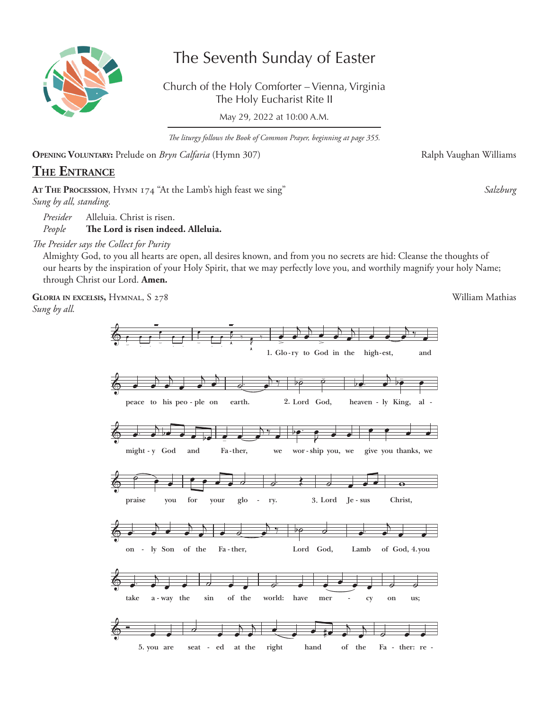

## The Seventh Sunday of Easter

Church of the Holy Comforter – Vienna, Virginia The Holy Eucharist Rite II

May 29, 2022 at 10:00 A.M.

*The liturgy follows the Book of Common Prayer, beginning at page 355.*

**OPENING VOLUNTARY:** Prelude on *Bryn Calfaria* (Hymn 307) Ralph Vaughan Williams

## **The Entrance**

**At The Procession**, Hymn 174 "At the Lamb's high feast we sing" *Salzburg Sung by all, standing.*

*Presider* Alleluia. Christ is risen. *People* **The Lord is risen indeed. Alleluia.**

*The Presider says the Collect for Purity*

Almighty God, to you all hearts are open, all desires known, and from you no secrets are hid: Cleanse the thoughts of our hearts by the inspiration of your Holy Spirit, that we may perfectly love you, and worthily magnify your holy Name; through Christ our Lord. **Amen***.*

**Gloria in excelsis,** Hymnal, S 278 William Mathias *Sung by all.*

> $& \overline{\bigcirc}$ > œ . œ . œ  $\blacksquare$ . œ . —<br>ट<br>8  $\Box$ . œ . J  $\frac{\beta}{\lambda}$  ,  $\frac{\beta}{\beta}$  $e^{\frac{1}{2}}$ 1. Glo-ry to God in the œ  $\frac{1}{2}$ j  $\rightarrow$  $\frac{\partial}{\partial \mathbf{e}}$ > j  $\rightarrow$ œ  $\cdot$   $\cdot$   $\cdot$  $\rightarrow$   $\rightarrow$ high-est, and  $\&$  . .  $\rightarrow$  $\mathcal{L}_{\bullet}$ j  $\rightarrow$ œ peace to his peo - ple on  $\phi$ .  $\big\downarrow$   $\frac{1}{2}$ earth.  $\bar{\varphi}$   $\bar{\varphi}$ ˙ 2. Lord God,  $\overline{E}$ .  $\frac{\partial}{\partial p}$ heaven - ly King, al -  $\&$   $\bullet$  $\frac{1}{e^{i\theta}}$ might - y God and -  $\overline{\phantom{a}}$  $\frac{\partial \Psi}{\partial x}$ Fa-ther, we  $\frac{1}{2}$  $\cdot$   $\cdot$ wor - ship you, we  $\bullet$   $\bullet$   $\bullet$ give you thanks, we  $6$   $\circ$   $\cdot$ praise you  $\overline{\mathbf{e}}$ for your glo -  $\circ$ . ry. 3. Lord  $\overline{\phantom{a}}$ Je - sus  $\overline{\mathbf{e}}$ Christ,  $\&$  .  $\rightarrow$  $\rightarrow$ œ on - ly Son of the  $\bullet$   $\bullet$  $\rightarrow$  y Fa - ther,  $b \rho$   $\sigma$ Lord God,  $\cdot$   $\cdot$  $\cdot$  . Lamb of God, 4.you œ  $\oint$  .  $\rightarrow$  $\frac{1}{\sqrt{2}}$ take a - way the ˙ œ œ sin of the  $\overline{\phi}$ . world: have  $\overline{\cdot \cdot \cdot}$ mer - cy  $\overline{\phantom{a}}$   $\overline{\phantom{a}}$ on us;  $\zeta$  -5. you are  $\overline{\cdot}$  $\overline{\phantom{a}}$  $\left| \cdot \right|$  $\rightarrow$ œ seat - ed at the œ  $e \rightarrow e$  $\rightarrow$ œ right hand of the ˙ œ œ Fa - ther: re -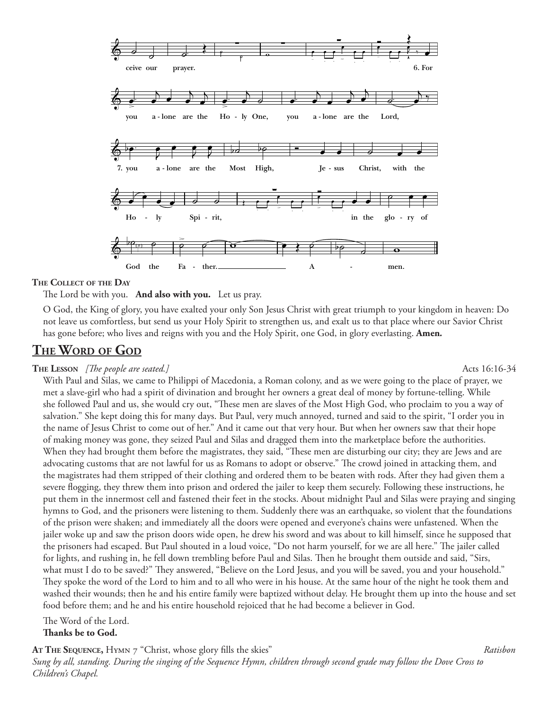

#### THE COLLECT OF THE DAY

The Lord be with you. And also with you. Let us pray.

O God, the King of glory, you have exalted your only Son Jesus Christ with great triumph to your kingdom in heaven: Do not leave us comfortless, but send us your Holy Spirit to strengthen us, and exalt us to that place where our Savior Christ has gone before; who lives and reigns with you and the Holy Spirit, one God, in glory everlasting. **Amen.** 

## THE WORD OF GOD

#### THE LESSON [The people are seated.]

Acts 16:16-34

With Paul and Silas, we came to Philippi of Macedonia, a Roman colony, and as we were going to the place of prayer, we met a slave-girl who had a spirit of divination and brought her owners a great deal of money by fortune-telling. While she followed Paul and us, she would cry out, "These men are slaves of the Most High God, who proclaim to you a way of salvation." She kept doing this for many days. But Paul, very much annoyed, turned and said to the spirit, "I order you in the name of Jesus Christ to come out of her." And it came out that very hour. But when her owners saw that their hope of making money was gone, they seized Paul and Silas and dragged them into the marketplace before the authorities. When they had brought them before the magistrates, they said, "These men are disturbing our city; they are Jews and are advocating customs that are not lawful for us as Romans to adopt or observe." The crowd joined in attacking them, and the magistrates had them stripped of their clothing and ordered them to be beaten with rods. After they had given them a severe flogging, they threw them into prison and ordered the jailer to keep them securely. Following these instructions, he put them in the innermost cell and fastened their feet in the stocks. About midnight Paul and Silas were praying and singing hymns to God, and the prisoners were listening to them. Suddenly there was an earthquake, so violent that the foundations of the prison were shaken; and immediately all the doors were opened and everyone's chains were unfastened. When the jailer woke up and saw the prison doors wide open, he drew his sword and was about to kill himself, since he supposed that the prisoners had escaped. But Paul shouted in a loud voice, "Do not harm yourself, for we are all here." The jailer called for lights, and rushing in, he fell down trembling before Paul and Silas. Then he brought them outside and said, "Sirs, what must I do to be saved?" They answered, "Believe on the Lord Jesus, and you will be saved, you and your household." They spoke the word of the Lord to him and to all who were in his house. At the same hour of the night he took them and washed their wounds; then he and his entire family were baptized without delay. He brought them up into the house and set food before them; and he and his entire household rejoiced that he had become a believer in God.

The Word of the Lord.

#### Thanks be to God.

AT THE SEQUENCE, HYMN 7 "Christ, whose glory fills the skies" Ratishon Sung by all, standing. During the singing of the Sequence Hymn, children through second grade may follow the Dove Cross to Children's Chapel.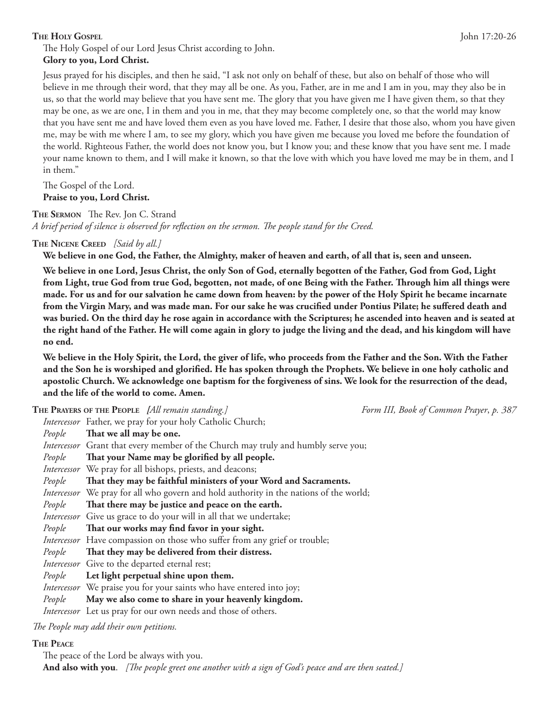## **THE HOLY GOSPEL** John 17:20-26

## **Glory to you, Lord Christ.**

Jesus prayed for his disciples, and then he said, "I ask not only on behalf of these, but also on behalf of those who will believe in me through their word, that they may all be one. As you, Father, are in me and I am in you, may they also be in us, so that the world may believe that you have sent me. The glory that you have given me I have given them, so that they may be one, as we are one, I in them and you in me, that they may become completely one, so that the world may know that you have sent me and have loved them even as you have loved me. Father, I desire that those also, whom you have given me, may be with me where I am, to see my glory, which you have given me because you loved me before the foundation of the world. Righteous Father, the world does not know you, but I know you; and these know that you have sent me. I made your name known to them, and I will make it known, so that the love with which you have loved me may be in them, and I in them."

The Gospel of the Lord.

**Praise to you, Lord Christ.**

**The Sermon** The Rev. Jon C. Strand

*A brief period of silence is observed for reflection on the sermon. The people stand for the Creed.*

## **The Nicene Creed** *[Said by all.]*

**We believe in one God, the Father, the Almighty, maker of heaven and earth, of all that is, seen and unseen.**

**We believe in one Lord, Jesus Christ, the only Son of God, eternally begotten of the Father, God from God, Light from Light, true God from true God, begotten, not made, of one Being with the Father. Through him all things were made. For us and for our salvation he came down from heaven: by the power of the Holy Spirit he became incarnate from the Virgin Mary, and was made man. For our sake he was crucified under Pontius Pilate; he suffered death and was buried. On the third day he rose again in accordance with the Scriptures; he ascended into heaven and is seated at the right hand of the Father. He will come again in glory to judge the living and the dead, and his kingdom will have no end.**

**We believe in the Holy Spirit, the Lord, the giver of life, who proceeds from the Father and the Son. With the Father and the Son he is worshiped and glorified. He has spoken through the Prophets. We believe in one holy catholic and apostolic Church. We acknowledge one baptism for the forgiveness of sins. We look for the resurrection of the dead, and the life of the world to come. Amen.**

**The Prayers of the People** *[All remain standing.] Form III, Book of Common Prayer*, *p. 387 Intercessor* Father, we pray for your holy Catholic Church; *People* **That we all may be one.** *Intercessor* Grant that every member of the Church may truly and humbly serve you; *People* **That your Name may be glorified by all people.** *Intercessor* We pray for all bishops, priests, and deacons; *People* **That they may be faithful ministers of your Word and Sacraments.** *Intercessor* We pray for all who govern and hold authority in the nations of the world; *People* **That there may be justice and peace on the earth.** *Intercessor* Give us grace to do your will in all that we undertake; *People* **That our works may find favor in your sight.** *Intercessor* Have compassion on those who suffer from any grief or trouble; *People* **That they may be delivered from their distress.** *Intercessor* Give to the departed eternal rest; *People* **Let light perpetual shine upon them.** *Intercessor* We praise you for your saints who have entered into joy; *People* **May we also come to share in your heavenly kingdom.** *Intercessor* Let us pray for our own needs and those of others.

*The People may add their own petitions.*

## **The Peace**

The peace of the Lord be always with you. **And also with you**. *[The people greet one another with a sign of God's peace and are then seated.]*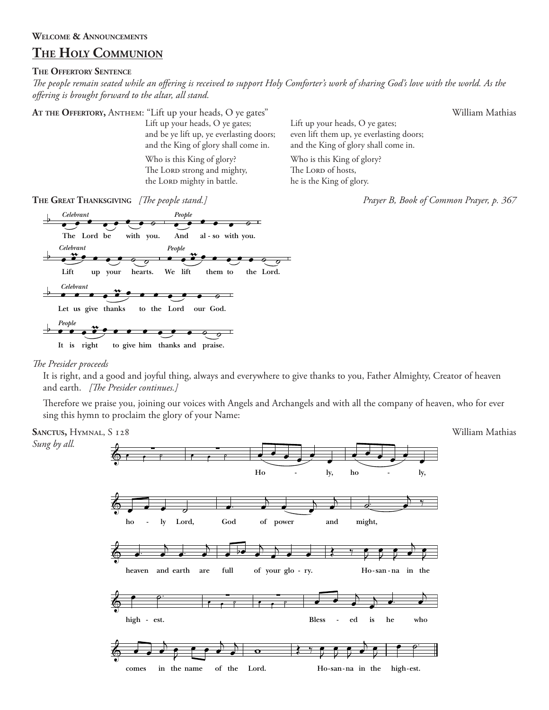## **The Holy Communion**

#### **The Offertory Sentence**

*The people remain seated while an offering is received to support Holy Comforter's work of sharing God's love with the world. As the offering is brought forward to the altar, all stand.*

**At the Offertory,** Anthem: "Lift up your heads, O ye gates" William Mathias

Lift up your heads, O ye gates; Lift up your heads, O ye gates; and the King of glory shall come in. and the King of glory shall come in.

Who is this King of glory? Who is this King of glory? The Lord strong and mighty, The Lord of hosts, the Lord mighty in battle. he is the King of glory.

**The Great Thanksgiving** *[The people stand.] Prayer B, Book of Common Prayer, p. 367*



and be ye lift up, ye everlasting doors; even lift them up, ye everlasting doors;

## *The Presider proceeds*

It is right, and a good and joyful thing, always and everywhere to give thanks to you, Father Almighty, Creator of heaven and earth. *[The Presider continues.]*

Therefore we praise you, joining our voices with Angels and Archangels and with all the company of heaven, who for ever sing this hymn to proclaim the glory of your Name:

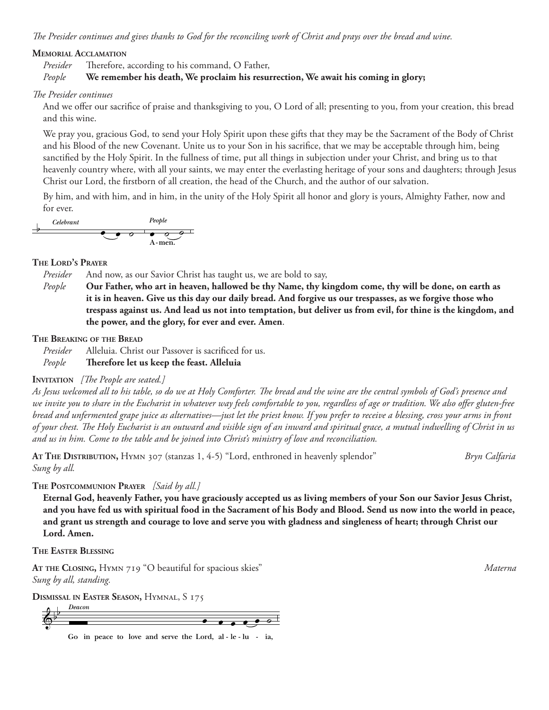*The Presider continues and gives thanks to God for the reconciling work of Christ and prays over the bread and wine.*

#### **Memorial Acclamation**

*Presider* Therefore, according to his command, O Father,

*People* **We remember his death, We proclaim his resurrection, We await his coming in glory;**

#### *The Presider continues*

And we offer our sacrifice of praise and thanksgiving to you, O Lord of all; presenting to you, from your creation, this bread and this wine.

We pray you, gracious God, to send your Holy Spirit upon these gifts that they may be the Sacrament of the Body of Christ and his Blood of the new Covenant. Unite us to your Son in his sacrifice, that we may be acceptable through him, being sanctified by the Holy Spirit. In the fullness of time, put all things in subjection under your Christ, and bring us to that heavenly country where, with all your saints, we may enter the everlasting heritage of your sons and daughters; through Jesus Christ our Lord, the firstborn of all creation, the head of the Church, and the author of our salvation.

By him, and with him, and in him, in the unity of the Holy Spirit all honor and glory is yours, Almighty Father, now and for ever.

<sup>b</sup> œ œ ˙ œ ˙ ˙ A -men. *Celebrant People*

## **The Lord's Prayer**

*Presider* And now, as our Savior Christ has taught us, we are bold to say,

*People* **Our Father, who art in heaven, hallowed be thy Name, thy kingdom come, thy will be done, on earth as it is in heaven. Give us this day our daily bread. And forgive us our trespasses, as we forgive those who trespass against us. And lead us not into temptation, but deliver us from evil, for thine is the kingdom, and the power, and the glory, for ever and ever. Amen**.

## **The Breaking of the Bread**

*Presider* Alleluia. Christ our Passover is sacrificed for us. *People* **Therefore let us keep the feast. Alleluia**

## **Invitation** *[The People are seated.]*

*As Jesus welcomed all to his table, so do we at Holy Comforter. The bread and the wine are the central symbols of God's presence and we invite you to share in the Eucharist in whatever way feels comfortable to you, regardless of age or tradition. We also offer gluten-free bread and unfermented grape juice as alternatives—just let the priest know. If you prefer to receive a blessing, cross your arms in front of your chest. The Holy Eucharist is an outward and visible sign of an inward and spiritual grace, a mutual indwelling of Christ in us and us in him. Come to the table and be joined into Christ's ministry of love and reconciliation.*

**At THE DISTRIBUTION,** Hymn 307 (stanzas 1, 4-5) "Lord, enthroned in heavenly splendor" *Bryn Calfaria*<br>Sung by all *Sung by all.*  &b  $l.$ 

## **THE POSTCOMMUNION PRAYER** *[Said by all.]*

**Eternal God, heavenly Father, you have graciously accepted us as living members of your Son our Savior Jesus Christ,**  extrinar God; heavenry **rather, you have graciously accepted** us as hying members or your son our savior jesus Christ,<br>and you have fed us with spiritual food in the Sacrament of his Body and Blood. Send us now into the wo **and grant us strength and courage to love and serve you with gladness and singleness of heart; through Christ our**  Lord. Amen.

# **The Easter Blessing** &b b *People*

**AT** THE EASTER BLESSING<br>AT THE CLOSING, HYMN 719 "O beautiful for spacious skies" *Materna Sung by all, standing.*  $\frac{1}{u}$   $\frac{1}{u}$  - le  $\frac{1}{u}$  $\mathbb{R}^n$  $\begin{array}{cc} 1 & \cdots & \cdots \end{array}$  $_{\text{p}}$  all  $\alpha$  and  $\alpha$ .

**Dismissal in Easter Season,** Hymnal, S 175

$$
\bigodot^{\text{b}\text{ Bacon}}
$$

Go in peace to love and serve the Lord, al - le - lu - ia,